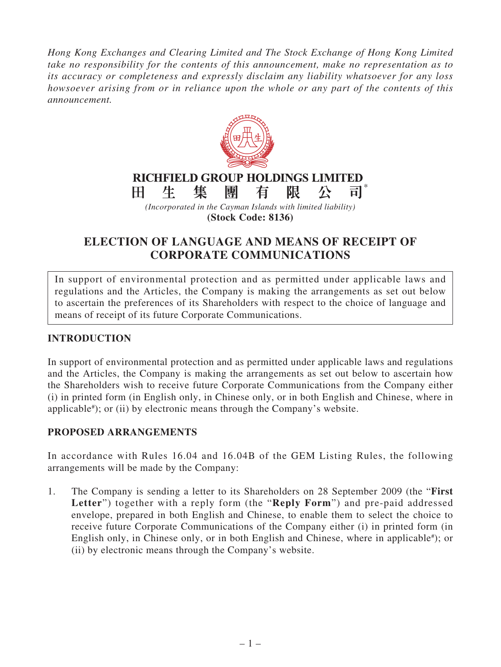*Hong Kong Exchanges and Clearing Limited and The Stock Exchange of Hong Kong Limited take no responsibility for the contents of this announcement, make no representation as to its accuracy or completeness and expressly disclaim any liability whatsoever for any loss howsoever arising from or in reliance upon the whole or any part of the contents of this announcement.*



**ELECTION OF LANGUAGE AND MEANS OF RECEIPT OF** 

**CORPORATE COMMUNICATIONS**

In support of environmental protection and as permitted under applicable laws and regulations and the Articles, the Company is making the arrangements as set out below to ascertain the preferences of its Shareholders with respect to the choice of language and means of receipt of its future Corporate Communications.

## **INTRODUCTION**

In support of environmental protection and as permitted under applicable laws and regulations and the Articles, the Company is making the arrangements as set out below to ascertain how the Shareholders wish to receive future Corporate Communications from the Company either (i) in printed form (in English only, in Chinese only, or in both English and Chinese, where in applicable# ); or (ii) by electronic means through the Company's website.

## **PROPOSED ARRANGEMENTS**

In accordance with Rules 16.04 and 16.04B of the GEM Listing Rules, the following arrangements will be made by the Company:

1. The Company is sending a letter to its Shareholders on 28 September 2009 (the "**First Letter**") together with a reply form (the "**Reply Form**") and pre-paid addressed envelope, prepared in both English and Chinese, to enable them to select the choice to receive future Corporate Communications of the Company either (i) in printed form (in English only, in Chinese only, or in both English and Chinese, where in applicable<sup>#</sup>); or (ii) by electronic means through the Company's website.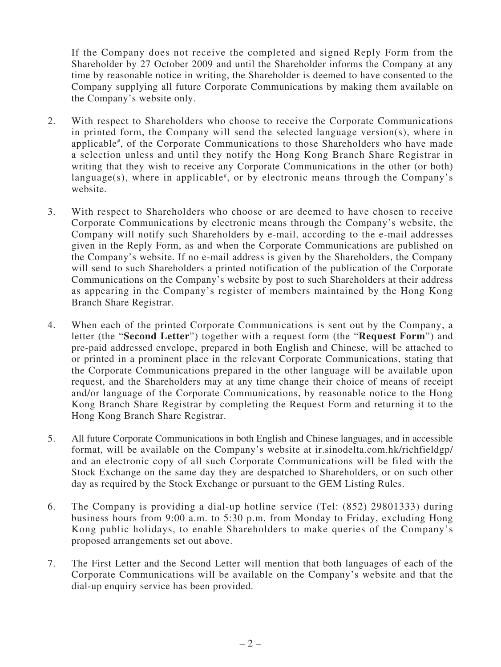If the Company does not receive the completed and signed Reply Form from the Shareholder by 27 October 2009 and until the Shareholder informs the Company at any time by reasonable notice in writing, the Shareholder is deemed to have consented to the Company supplying all future Corporate Communications by making them available on the Company's website only.

- 2. With respect to Shareholders who choose to receive the Corporate Communications in printed form, the Company will send the selected language version(s), where in applicable# , of the Corporate Communications to those Shareholders who have made a selection unless and until they notify the Hong Kong Branch Share Registrar in writing that they wish to receive any Corporate Communications in the other (or both) language(s), where in applicable<sup>#</sup>, or by electronic means through the Company's website.
- 3. With respect to Shareholders who choose or are deemed to have chosen to receive Corporate Communications by electronic means through the Company's website, the Company will notify such Shareholders by e-mail, according to the e-mail addresses given in the Reply Form, as and when the Corporate Communications are published on the Company's website. If no e-mail address is given by the Shareholders, the Company will send to such Shareholders a printed notification of the publication of the Corporate Communications on the Company's website by post to such Shareholders at their address as appearing in the Company's register of members maintained by the Hong Kong Branch Share Registrar.
- 4. When each of the printed Corporate Communications is sent out by the Company, a letter (the "**Second Letter**") together with a request form (the "**Request Form**") and pre-paid addressed envelope, prepared in both English and Chinese, will be attached to or printed in a prominent place in the relevant Corporate Communications, stating that the Corporate Communications prepared in the other language will be available upon request, and the Shareholders may at any time change their choice of means of receipt and/or language of the Corporate Communications, by reasonable notice to the Hong Kong Branch Share Registrar by completing the Request Form and returning it to the Hong Kong Branch Share Registrar.
- 5. All future Corporate Communications in both English and Chinese languages, and in accessible format, will be available on the Company's website at ir.sinodelta.com.hk/richfieldgp/ and an electronic copy of all such Corporate Communications will be filed with the Stock Exchange on the same day they are despatched to Shareholders, or on such other day as required by the Stock Exchange or pursuant to the GEM Listing Rules.
- 6. The Company is providing a dial-up hotline service (Tel: (852) 29801333) during business hours from 9:00 a.m. to 5:30 p.m. from Monday to Friday, excluding Hong Kong public holidays, to enable Shareholders to make queries of the Company's proposed arrangements set out above.
- 7. The First Letter and the Second Letter will mention that both languages of each of the Corporate Communications will be available on the Company's website and that the dial-up enquiry service has been provided.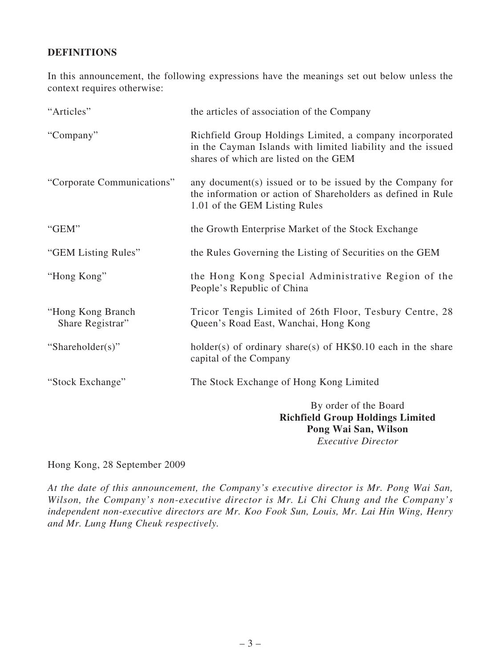## **DEFINITIONS**

In this announcement, the following expressions have the meanings set out below unless the context requires otherwise:

| "Articles"                            | the articles of association of the Company                                                                                                                       |
|---------------------------------------|------------------------------------------------------------------------------------------------------------------------------------------------------------------|
| "Company"                             | Richfield Group Holdings Limited, a company incorporated<br>in the Cayman Islands with limited liability and the issued<br>shares of which are listed on the GEM |
| "Corporate Communications"            | any document(s) issued or to be issued by the Company for<br>the information or action of Shareholders as defined in Rule<br>1.01 of the GEM Listing Rules       |
| "GEM"                                 | the Growth Enterprise Market of the Stock Exchange                                                                                                               |
| "GEM Listing Rules"                   | the Rules Governing the Listing of Securities on the GEM                                                                                                         |
| "Hong Kong"                           | the Hong Kong Special Administrative Region of the<br>People's Republic of China                                                                                 |
| "Hong Kong Branch<br>Share Registrar" | Tricor Tengis Limited of 26th Floor, Tesbury Centre, 28<br>Queen's Road East, Wanchai, Hong Kong                                                                 |
| "Shareholder(s)"                      | holder(s) of ordinary share(s) of $HK$0.10$ each in the share<br>capital of the Company                                                                          |
| "Stock Exchange"                      | The Stock Exchange of Hong Kong Limited                                                                                                                          |
|                                       | By order of the Board<br><b>Richfield Group Holdings Limited</b><br>$\mathbf{X} \mathbf{X}^T$ and $\mathbf{X} \mathbf{X}^T$                                      |

**Pong Wai San, Wilson** *Executive Director*

Hong Kong, 28 September 2009

*At the date of this announcement, the Company's executive director is Mr. Pong Wai San, Wilson, the Company's non-executive director is Mr. Li Chi Chung and the Company's independent non-executive directors are Mr. Koo Fook Sun, Louis, Mr. Lai Hin Wing, Henry and Mr. Lung Hung Cheuk respectively.*